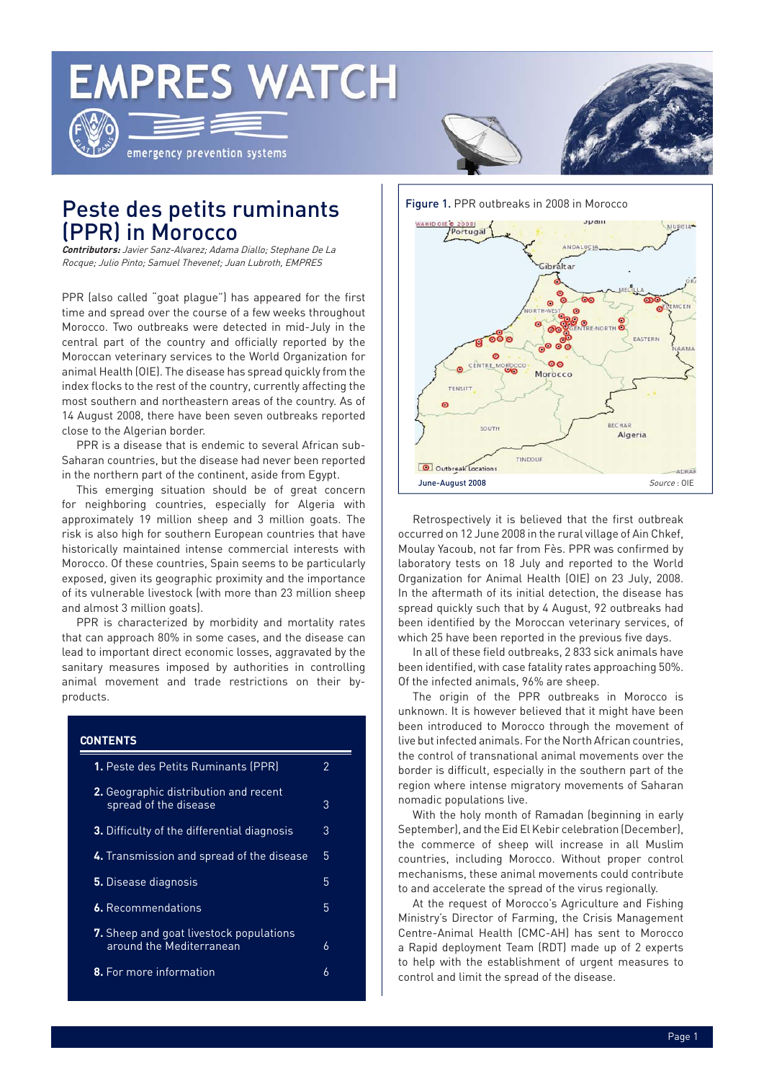# **EMPRES WATCH**



emergency prevention systems

Figure 1. PPR outbreaks in 2008 in Morocco

# Peste des petits ruminants (PPR) in Morocco

**Contributors:** Javier Sanz-Alvarez; Adama Diallo; Stephane De La Rocque; Julio Pinto; Samuel Thevenet; Juan Lubroth, EMPRES

PPR (also called "goat plague") has appeared for the first time and spread over the course of a few weeks throughout Morocco. Two outbreaks were detected in mid-July in the central part of the country and officially reported by the Moroccan veterinary services to the World Organization for animal Health (OIE). The disease has spread quickly from the index flocks to the rest of the country, currently affecting the most southern and northeastern areas of the country. As of 14 August 2008, there have been seven outbreaks reported close to the Algerian border.

PPR is a disease that is endemic to several African sub-Saharan countries, but the disease had never been reported in the northern part of the continent, aside from Egypt.

This emerging situation should be of great concern for neighboring countries, especially for Algeria with approximately 19 million sheep and 3 million goats. The risk is also high for southern European countries that have historically maintained intense commercial interests with Morocco. Of these countries, Spain seems to be particularly exposed, given its geographic proximity and the importance of its vulnerable livestock (with more than 23 million sheep and almost 3 million goats).

PPR is characterized by morbidity and mortality rates that can approach 80% in some cases, and the disease can lead to important direct economic losses, aggravated by the sanitary measures imposed by authorities in controlling animal movement and trade restrictions on their byproducts.

### **CONTENTS**

| <b>1.</b> Peste des Petits Ruminants (PPR)                                 | 2 |
|----------------------------------------------------------------------------|---|
| <b>2.</b> Geographic distribution and recent<br>spread of the disease      | 3 |
| 3. Difficulty of the differential diagnosis                                | 3 |
| 4. Transmission and spread of the disease                                  | 5 |
| <b>5.</b> Disease diagnosis                                                | 5 |
| <b>6.</b> Recommendations                                                  |   |
| <b>7.</b> Sheep and goat livestock populations<br>around the Mediterranean | 6 |
| <b>8.</b> For more information                                             | 6 |



Retrospectively it is believed that the first outbreak occurred on 12 June 2008 in the rural village of Ain Chkef, Moulay Yacoub, not far from Fès. PPR was confirmed by laboratory tests on 18 July and reported to the World Organization for Animal Health (OIE) on 23 July, 2008. In the aftermath of its initial detection, the disease has spread quickly such that by 4 August, 92 outbreaks had been identified by the Moroccan veterinary services, of which 25 have been reported in the previous five days.

In all of these field outbreaks, 2 833 sick animals have been identified, with case fatality rates approaching 50%. Of the infected animals, 96% are sheep.

The origin of the PPR outbreaks in Morocco is unknown. It is however believed that it might have been been introduced to Morocco through the movement of live but infected animals. For the North African countries, the control of transnational animal movements over the border is difficult, especially in the southern part of the region where intense migratory movements of Saharan nomadic populations live.

With the holy month of Ramadan (beginning in early September), and the Eid El Kebir celebration (December), the commerce of sheep will increase in all Muslim countries, including Morocco. Without proper control mechanisms, these animal movements could contribute to and accelerate the spread of the virus regionally.

At the request of Morocco's Agriculture and Fishing Ministry's Director of Farming, the Crisis Management Centre-Animal Health (CMC-AH) has sent to Morocco a Rapid deployment Team (RDT) made up of 2 experts to help with the establishment of urgent measures to control and limit the spread of the disease.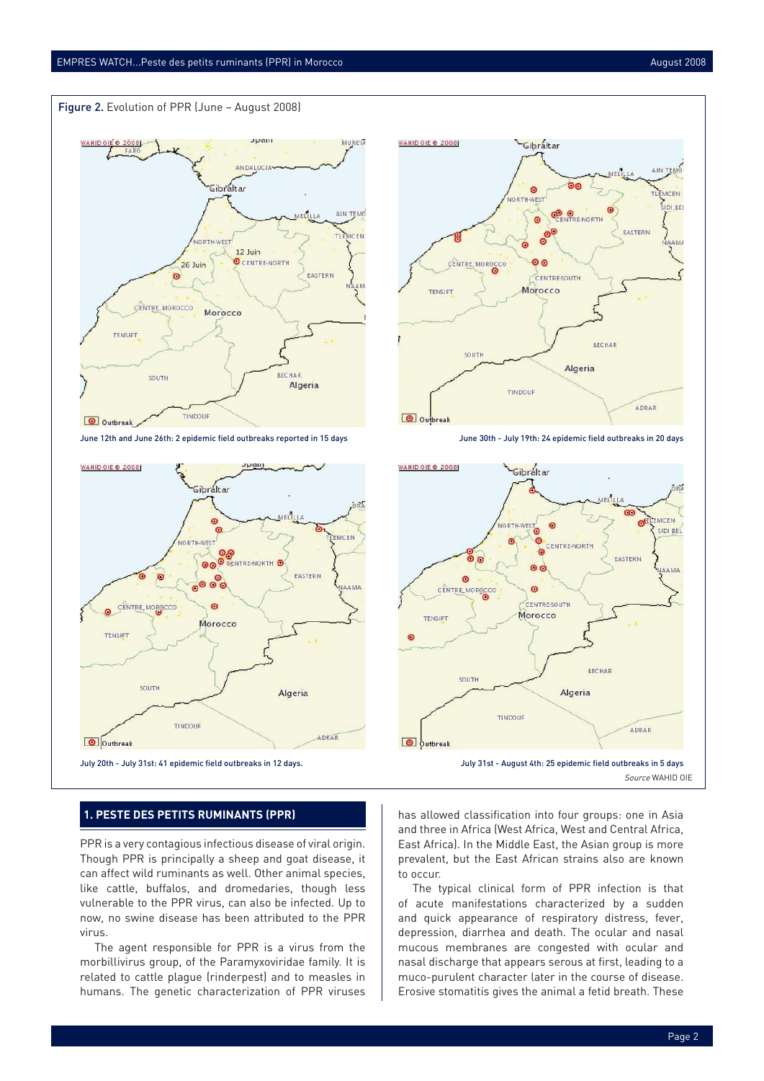



June 12th and June 26th: 2 epidemic field outbreaks reported in 15 days June 30th - July 19th: 24 epidemic field outbreaks in 20 days



#### **1. PESTE DES PETITS RUMINANTS (PPR)**

PPR is a very contagious infectious disease of viral origin. Though PPR is principally a sheep and goat disease, it can affect wild ruminants as well. Other animal species, like cattle, buffalos, and dromedaries, though less vulnerable to the PPR virus, can also be infected. Up to now, no swine disease has been attributed to the PPR virus.

The agent responsible for PPR is a virus from the morbillivirus group, of the Paramyxoviridae family. It is related to cattle plague (rinderpest) and to measles in humans. The genetic characterization of PPR viruses





has allowed classification into four groups: one in Asia and three in Africa (West Africa, West and Central Africa, East Africa). In the Middle East, the Asian group is more prevalent, but the East African strains also are known to occur.

The typical clinical form of PPR infection is that of acute manifestations characterized by a sudden and quick appearance of respiratory distress, fever, depression, diarrhea and death. The ocular and nasal mucous membranes are congested with ocular and nasal discharge that appears serous at first, leading to a muco-purulent character later in the course of disease. Erosive stomatitis gives the animal a fetid breath. These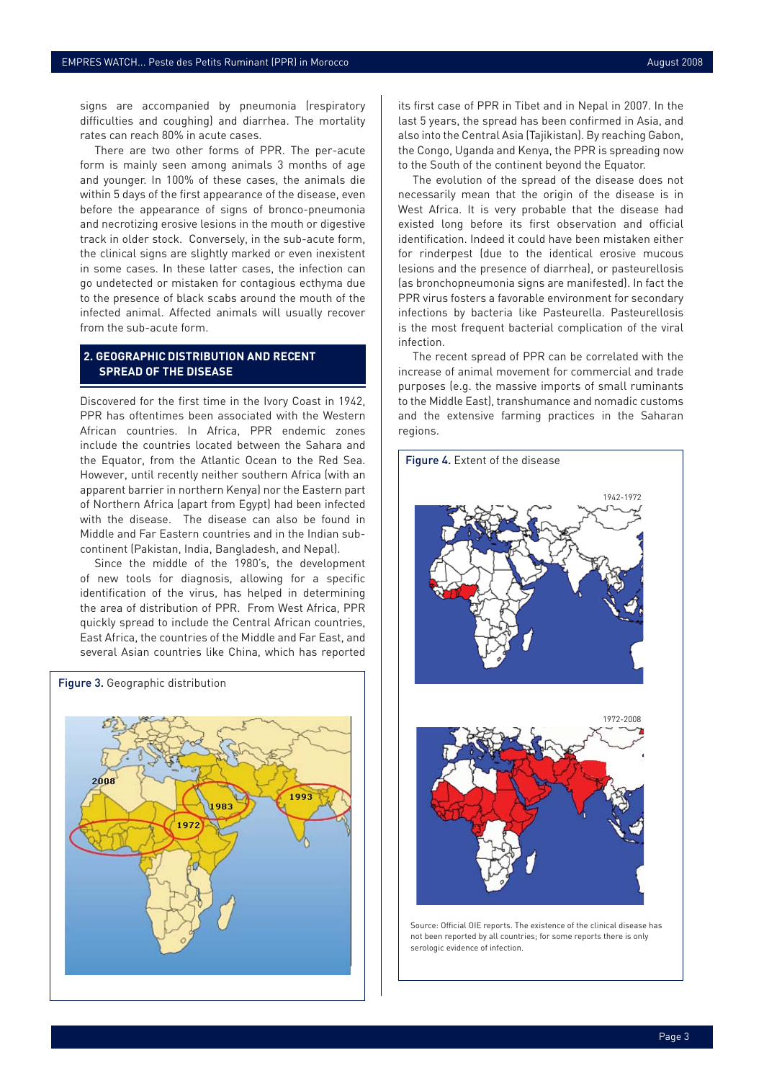signs are accompanied by pneumonia (respiratory difficulties and coughing) and diarrhea. The mortality rates can reach 80% in acute cases.

There are two other forms of PPR. The per-acute form is mainly seen among animals 3 months of age and younger. In 100% of these cases, the animals die within 5 days of the first appearance of the disease, even before the appearance of signs of bronco-pneumonia and necrotizing erosive lesions in the mouth or digestive track in older stock. Conversely, in the sub-acute form, the clinical signs are slightly marked or even inexistent in some cases. In these latter cases, the infection can go undetected or mistaken for contagious ecthyma due to the presence of black scabs around the mouth of the infected animal. Affected animals will usually recover from the sub-acute form.

#### **2. GEOGRAPHIC DISTRIBUTION AND RECENT SPREAD OF THE DISEASE**

Discovered for the first time in the Ivory Coast in 1942, PPR has oftentimes been associated with the Western African countries. In Africa, PPR endemic zones include the countries located between the Sahara and the Equator, from the Atlantic Ocean to the Red Sea. However, until recently neither southern Africa (with an apparent barrier in northern Kenya) nor the Eastern part of Northern Africa (apart from Egypt) had been infected with the disease. The disease can also be found in Middle and Far Eastern countries and in the Indian subcontinent (Pakistan, India, Bangladesh, and Nepal).

Since the middle of the 1980's, the development of new tools for diagnosis, allowing for a specific identification of the virus, has helped in determining the area of distribution of PPR. From West Africa, PPR quickly spread to include the Central African countries, East Africa, the countries of the Middle and Far East, and several Asian countries like China, which has reported



its first case of PPR in Tibet and in Nepal in 2007. In the last 5 years, the spread has been confirmed in Asia, and also into the Central Asia (Tajikistan). By reaching Gabon, the Congo, Uganda and Kenya, the PPR is spreading now to the South of the continent beyond the Equator.

The evolution of the spread of the disease does not necessarily mean that the origin of the disease is in West Africa. It is very probable that the disease had existed long before its first observation and official identification. Indeed it could have been mistaken either for rinderpest (due to the identical erosive mucous lesions and the presence of diarrhea), or pasteurellosis (as bronchopneumonia signs are manifested). In fact the PPR virus fosters a favorable environment for secondary infections by bacteria like Pasteurella. Pasteurellosis is the most frequent bacterial complication of the viral infection.

The recent spread of PPR can be correlated with the increase of animal movement for commercial and trade purposes (e.g. the massive imports of small ruminants to the Middle East), transhumance and nomadic customs and the extensive farming practices in the Saharan regions.



Source: Official OIE reports. The existence of the clinical disease has not been reported by all countries; for some reports there is only serologic evidence of infection.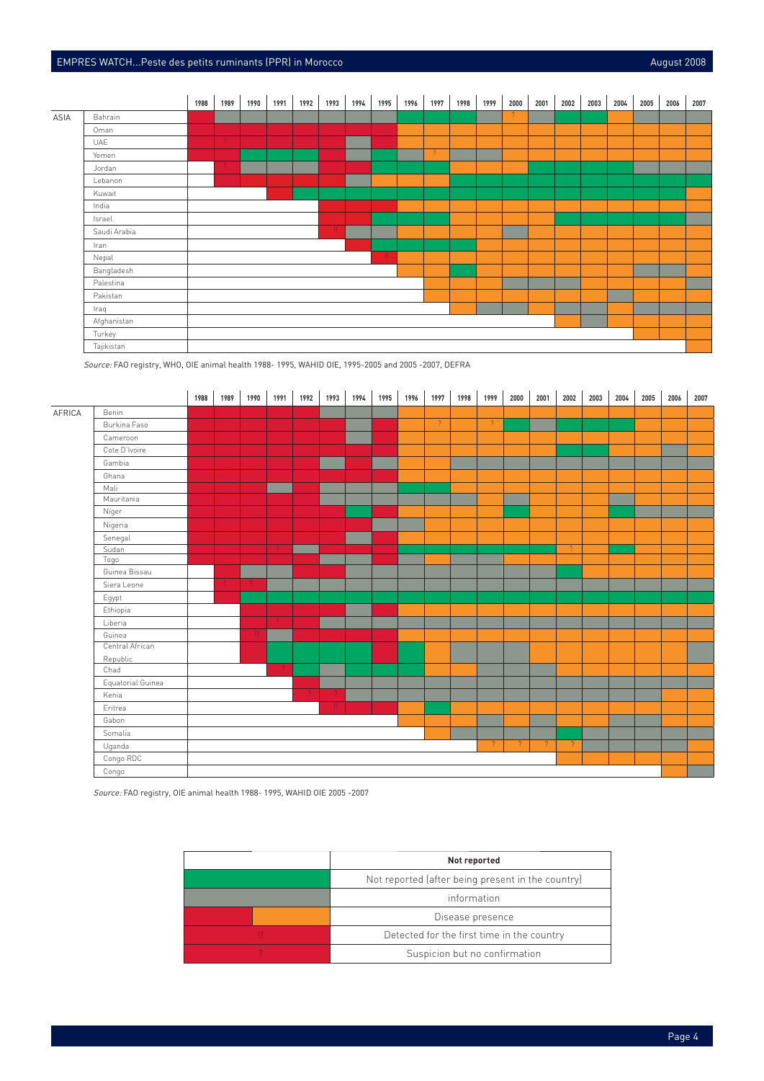## EMPRES WATCH...Peste des petits ruminants (PPR) in Morocco August 2008 and Control of the August 2008



Source: FAO registry, WHO, OIE animal health 1988- 1995, WAHID OIE, 1995-2005 and 2005 -2007, DEFRA



Source: FAO registry, OIE animal health 1988- 1995, WAHID OIE 2005 -2007

|                                                   | Not reported                               |  |
|---------------------------------------------------|--------------------------------------------|--|
| Not reported (after being present in the country) |                                            |  |
|                                                   | information                                |  |
|                                                   | Disease presence                           |  |
|                                                   | Detected for the first time in the country |  |
|                                                   | Suspicion but no confirmation              |  |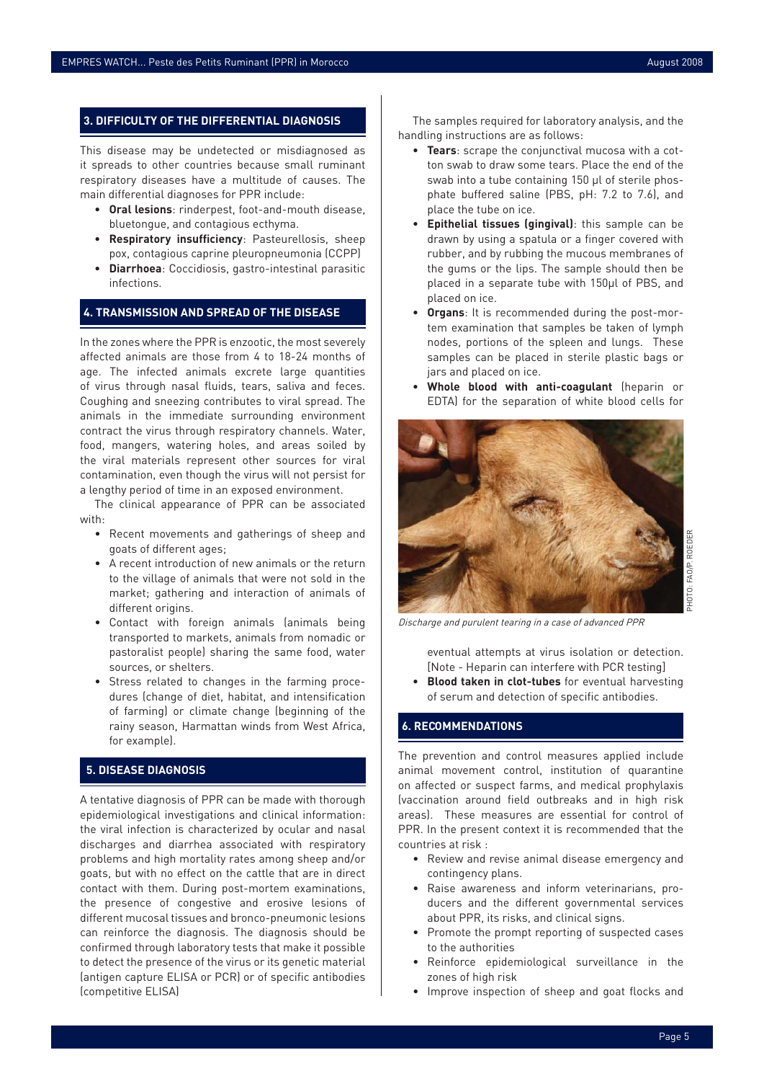#### **3. DIFFICULTY OF THE DIFFERENTIAL DIAGNOSIS**

This disease may be undetected or misdiagnosed as it spreads to other countries because small ruminant respiratory diseases have a multitude of causes. The main differential diagnoses for PPR include:

- **Oral lesions**: rinderpest, foot-and-mouth disease, bluetongue, and contagious ecthyma.
- **Respiratory insufficiency: Pasteurellosis, sheep** pox, contagious caprine pleuropneumonia (CCPP)
- **Diarrhoea**: Coccidiosis, gastro-intestinal parasitic infections.

#### **4. TRANSMISSION AND SPREAD OF THE DISEASE**

In the zones where the PPR is enzootic, the most severely affected animals are those from 4 to 18-24 months of age. The infected animals excrete large quantities of virus through nasal fluids, tears, saliva and feces. Coughing and sneezing contributes to viral spread. The animals in the immediate surrounding environment contract the virus through respiratory channels. Water, food, mangers, watering holes, and areas soiled by the viral materials represent other sources for viral contamination, even though the virus will not persist for a lengthy period of time in an exposed environment.

The clinical appearance of PPR can be associated with:

- Recent movements and gatherings of sheep and goats of different ages;
- A recent introduction of new animals or the return to the village of animals that were not sold in the market; gathering and interaction of animals of different origins.
- Contact with foreign animals (animals being transported to markets, animals from nomadic or pastoralist people) sharing the same food, water sources, or shelters.
- Stress related to changes in the farming procedures (change of diet, habitat, and intensification of farming) or climate change (beginning of the rainy season, Harmattan winds from West Africa, for example).

#### **5. DISEASE DIAGNOSIS**

A tentative diagnosis of PPR can be made with thorough epidemiological investigations and clinical information: the viral infection is characterized by ocular and nasal discharges and diarrhea associated with respiratory problems and high mortality rates among sheep and/or goats, but with no effect on the cattle that are in direct contact with them. During post-mortem examinations, the presence of congestive and erosive lesions of different mucosal tissues and bronco-pneumonic lesions can reinforce the diagnosis. The diagnosis should be confirmed through laboratory tests that make it possible to detect the presence of the virus or its genetic material (antigen capture ELISA or PCR) or of specific antibodies (competitive ELISA)

The samples required for laboratory analysis, and the handling instructions are as follows:

- **Tears**: scrape the conjunctival mucosa with a cotton swab to draw some tears. Place the end of the swab into a tube containing 150 μl of sterile phosphate buffered saline (PBS, pH: 7.2 to 7.6), and place the tube on ice.
- **Epithelial tissues (gingival)**: this sample can be drawn by using a spatula or a finger covered with rubber, and by rubbing the mucous membranes of the gums or the lips. The sample should then be placed in a separate tube with 150μl of PBS, and placed on ice.
- Organs: It is recommended during the post-mortem examination that samples be taken of lymph nodes, portions of the spleen and lungs. These samples can be placed in sterile plastic bags or jars and placed on ice.
- **Whole blood with anti-coagulant** (heparin or EDTA) for the separation of white blood cells for



Discharge and purulent tearing in a case of advanced PPR

eventual attempts at virus isolation or detection. [Note - Heparin can interfere with PCR testing]

**• Blood taken in clot-tubes** for eventual harvesting of serum and detection of specific antibodies.

#### **6. RECOMMENDATIONS**

The prevention and control measures applied include animal movement control, institution of quarantine on affected or suspect farms, and medical prophylaxis (vaccination around field outbreaks and in high risk areas). These measures are essential for control of PPR. In the present context it is recommended that the countries at risk :

- Review and revise animal disease emergency and contingency plans.
- Raise awareness and inform veterinarians, producers and the different governmental services about PPR, its risks, and clinical signs.
- Promote the prompt reporting of suspected cases to the authorities
- Reinforce epidemiological surveillance in the zones of high risk
- Improve inspection of sheep and goat flocks and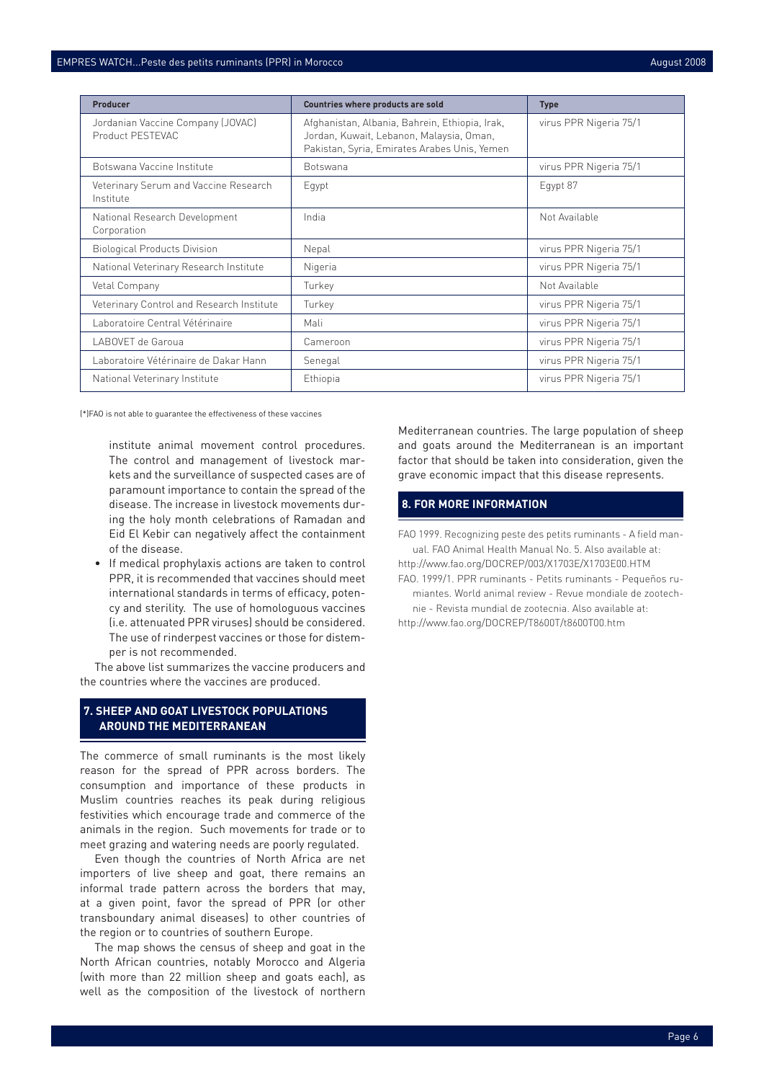| Producer                                              | Countries where products are sold                                                                                                          | <b>Type</b>            |
|-------------------------------------------------------|--------------------------------------------------------------------------------------------------------------------------------------------|------------------------|
| Jordanian Vaccine Company (JOVAC)<br>Product PESTEVAC | Afghanistan, Albania, Bahrein, Ethiopia, Irak,<br>Jordan, Kuwait, Lebanon, Malaysia, Oman,<br>Pakistan, Syria, Emirates Arabes Unis, Yemen | virus PPR Nigeria 75/1 |
| Botswana Vaccine Institute                            | <b>Botswana</b>                                                                                                                            | virus PPR Nigeria 75/1 |
| Veterinary Serum and Vaccine Research<br>Institute    | Egypt                                                                                                                                      | Eqypt 87               |
| National Research Development<br>Corporation          | India                                                                                                                                      | Not Available          |
| <b>Biological Products Division</b>                   | Nepal                                                                                                                                      | virus PPR Nigeria 75/1 |
| National Veterinary Research Institute                | Nigeria                                                                                                                                    | virus PPR Nigeria 75/1 |
| Vetal Company                                         | Turkey                                                                                                                                     | Not Available          |
| Veterinary Control and Research Institute             | Turkey                                                                                                                                     | virus PPR Nigeria 75/1 |
| Laboratoire Central Vétérinaire                       | Mali                                                                                                                                       | virus PPR Nigeria 75/1 |
| LABOVET de Garoua                                     | Cameroon                                                                                                                                   | virus PPR Nigeria 75/1 |
| Laboratoire Vétérinaire de Dakar Hann                 | Senegal                                                                                                                                    | virus PPR Nigeria 75/1 |
| National Veterinary Institute                         | Ethiopia                                                                                                                                   | virus PPR Nigeria 75/1 |

(\*)FAO is not able to guarantee the effectiveness of these vaccines

institute animal movement control procedures. The control and management of livestock markets and the surveillance of suspected cases are of paramount importance to contain the spread of the disease. The increase in livestock movements during the holy month celebrations of Ramadan and Eid El Kebir can negatively affect the containment of the disease.

• If medical prophylaxis actions are taken to control PPR, it is recommended that vaccines should meet international standards in terms of efficacy, potency and sterility. The use of homologuous vaccines (i.e. attenuated PPR viruses) should be considered. The use of rinderpest vaccines or those for distemper is not recommended.

The above list summarizes the vaccine producers and the countries where the vaccines are produced.

#### **7. SHEEP AND GOAT LIVESTOCK POPULATIONS AROUND THE MEDITERRANEAN**

The commerce of small ruminants is the most likely reason for the spread of PPR across borders. The consumption and importance of these products in Muslim countries reaches its peak during religious festivities which encourage trade and commerce of the animals in the region. Such movements for trade or to meet grazing and watering needs are poorly regulated.

Even though the countries of North Africa are net importers of live sheep and goat, there remains an informal trade pattern across the borders that may, at a given point, favor the spread of PPR (or other transboundary animal diseases) to other countries of the region or to countries of southern Europe.

The map shows the census of sheep and goat in the North African countries, notably Morocco and Algeria (with more than 22 million sheep and goats each), as well as the composition of the livestock of northern Mediterranean countries. The large population of sheep and goats around the Mediterranean is an important factor that should be taken into consideration, given the grave economic impact that this disease represents.

#### **8. FOR MORE INFORMATION**

FAO 1999. Recognizing peste des petits ruminants - A field manual. FAO Animal Health Manual No. 5. Also available at:

- http://www.fao.org/DOCREP/003/X1703E/X1703E00.HTM
- FAO. 1999/1. PPR ruminants Petits ruminants Pequeños rumiantes. World animal review - Revue mondiale de zootech-
- nie Revista mundial de zootecnia. Also available at: http://www.fao.org/DOCREP/T8600T/t8600T00.htm